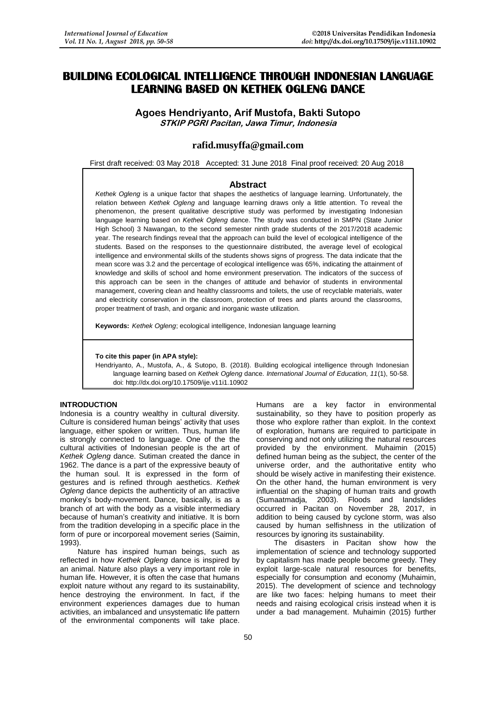# **BUILDING ECOLOGICAL INTELLIGENCE THROUGH INDONESIAN LANGUAGE LEARNING BASED ON KETHEK OGLENG DANCE**

**Agoes Hendriyanto, Arif Mustofa, Bakti Sutopo STKIP PGRI Pacitan, Jawa Timur, Indonesia**

# **rafid.musyffa@gmail.com**

First draft received: 03 May 2018 Accepted: 31 June 2018 Final proof received: 20 Aug 2018

#### **Abstract**

*Kethek Ogleng* is a unique factor that shapes the aesthetics of language learning. Unfortunately, the relation between *Kethek Ogleng* and language learning draws only a little attention. To reveal the phenomenon, the present qualitative descriptive study was performed by investigating Indonesian language learning based on *Kethek Ogleng* dance. The study was conducted in SMPN (State Junior High School) 3 Nawangan, to the second semester ninth grade students of the 2017/2018 academic year. The research findings reveal that the approach can build the level of ecological intelligence of the students. Based on the responses to the questionnaire distributed, the average level of ecological intelligence and environmental skills of the students shows signs of progress. The data indicate that the mean score was 3.2 and the percentage of ecological intelligence was 65%, indicating the attainment of knowledge and skills of school and home environment preservation. The indicators of the success of this approach can be seen in the changes of attitude and behavior of students in environmental management, covering clean and healthy classrooms and toilets, the use of recyclable materials, water and electricity conservation in the classroom, protection of trees and plants around the classrooms, proper treatment of trash, and organic and inorganic waste utilization.

**Keywords:** *Kethek Ogleng*; ecological intelligence, Indonesian language learning

#### **To cite this paper (in APA style):**

Hendriyanto, A., Mustofa, A., & Sutopo, B. (2018). Building ecological intelligence through Indonesian language learning based on *Kethek Ogleng* dance. *International Journal of Education, 11*(1), 50-58. doi: http://dx.doi.org/10.17509/ije.v11i1.10902

# **INTRODUCTION**

Indonesia is a country wealthy in cultural diversity. Culture is considered human beings' activity that uses language, either spoken or written. Thus, human life is strongly connected to language. One of the the cultural activities of Indonesian people is the art of *Kethek Ogleng* dance. Sutiman created the dance in 1962. The dance is a part of the expressive beauty of the human soul. It is expressed in the form of gestures and is refined through aesthetics. *Kethek Ogleng* dance depicts the authenticity of an attractive monkey's body-movement. Dance, basically, is as a branch of art with the body as a visible intermediary because of human's creativity and initiative. It is born from the tradition developing in a specific place in the form of pure or incorporeal movement series (Saimin, 1993).

Nature has inspired human beings, such as reflected in how *Kethek Ogleng* dance is inspired by an animal. Nature also plays a very important role in human life. However, it is often the case that humans exploit nature without any regard to its sustainability, hence destroying the environment. In fact, if the environment experiences damages due to human activities, an imbalanced and unsystematic life pattern of the environmental components will take place. sustainability, so they have to position properly as those who explore rather than exploit. In the context of exploration, humans are required to participate in conserving and not only utilizing the natural resources provided by the environment. Muhaimin (2015) defined human being as the subject, the center of the universe order, and the authoritative entity who should be wisely active in manifesting their existence. On the other hand, the human environment is very influential on the shaping of human traits and growth (Sumaatmadja, 2003). Floods and landslides occurred in Pacitan on November 28, 2017, in addition to being caused by cyclone storm, was also caused by human selfishness in the utilization of resources by ignoring its sustainability. The disasters in Pacitan show how the

Humans are a key factor in environmental

implementation of science and technology supported by capitalism has made people become greedy. They exploit large-scale natural resources for benefits, especially for consumption and economy (Muhaimin, 2015). The development of science and technology are like two faces: helping humans to meet their needs and raising ecological crisis instead when it is under a bad management. Muhaimin (2015) further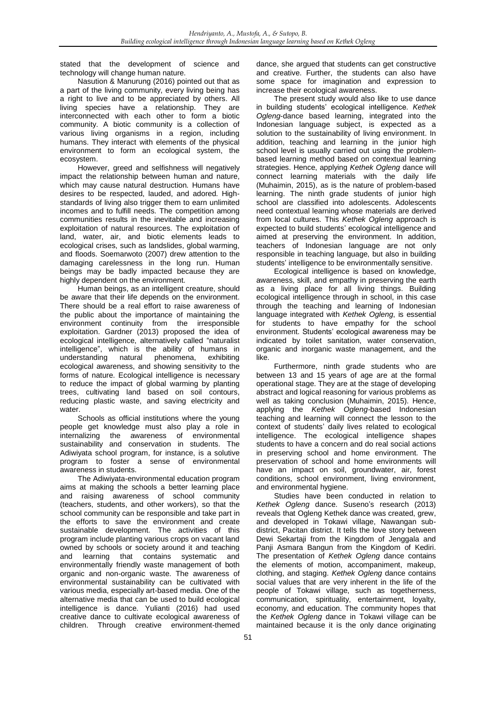stated that the development of science and technology will change human nature.

Nasution & Manurung (2016) pointed out that as a part of the living community, every living being has a right to live and to be appreciated by others. All living species have a relationship. They are interconnected with each other to form a biotic community. A biotic community is a collection of various living organisms in a region, including humans. They interact with elements of the physical environment to form an ecological system, the ecosystem.

However, greed and selfishness will negatively impact the relationship between human and nature, which may cause natural destruction. Humans have desires to be respected, lauded, and adored. Highstandards of living also trigger them to earn unlimited incomes and to fulfill needs. The competition among communities results in the inevitable and increasing exploitation of natural resources. The exploitation of land, water, air, and biotic elements leads to ecological crises, such as landslides, global warming, and floods. Soemarwoto (2007) drew attention to the damaging carelessness in the long run. Human beings may be badly impacted because they are highly dependent on the environment.

Human beings, as an intelligent creature, should be aware that their life depends on the environment. There should be a real effort to raise awareness of the public about the importance of maintaining the environment continuity from the irresponsible exploitation. Gardner (2013) proposed the idea of ecological intelligence, alternatively called "naturalist intelligence", which is the ability of humans in understanding natural phenomena, exhibiting ecological awareness, and showing sensitivity to the forms of nature. Ecological intelligence is necessary to reduce the impact of global warming by planting trees, cultivating land based on soil contours, reducing plastic waste, and saving electricity and water

Schools as official institutions where the young people get knowledge must also play a role in internalizing the awareness of environmental sustainability and conservation in students. The Adiwiyata school program, for instance, is a solutive program to foster a sense of environmental awareness in students.

The Adiwiyata-environmental education program aims at making the schools a better learning place and raising awareness of school community (teachers, students, and other workers), so that the school community can be responsible and take part in the efforts to save the environment and create sustainable development. The activities of this program include planting various crops on vacant land owned by schools or society around it and teaching and learning that contains systematic and environmentally friendly waste management of both organic and non-organic waste. The awareness of environmental sustainability can be cultivated with various media, especially art-based media. One of the alternative media that can be used to build ecological intelligence is dance. Yulianti (2016) had used creative dance to cultivate ecological awareness of children. Through creative environment-themed

dance, she argued that students can get constructive and creative. Further, the students can also have some space for imagination and expression to increase their ecological awareness.

The present study would also like to use dance in building students' ecological intelligence. *Kethek Ogleng*-dance based learning, integrated into the Indonesian language subject, is expected as a solution to the sustainability of living environment. In addition, teaching and learning in the junior high school level is usually carried out using the problembased learning method based on contextual learning strategies. Hence, applying *Kethek Ogleng* dance will connect learning materials with the daily life (Muhaimin, 2015), as is the nature of problem-based learning. The ninth grade students of junior high school are classified into adolescents. Adolescents need contextual learning whose materials are derived from local cultures. This *Kethek Ogleng* approach is expected to build students' ecological intelligence and aimed at preserving the environment. In addition, teachers of Indonesian language are not only responsible in teaching language, but also in building students' intelligence to be environmentally sensitive.

Ecological intelligence is based on knowledge, awareness, skill, and empathy in preserving the earth as a living place for all living things. Building ecological intelligence through in school, in this case through the teaching and learning of Indonesian language integrated with *Kethek Ogleng*, is essential for students to have empathy for the school environment. Students' ecological awareness may be indicated by toilet sanitation, water conservation, organic and inorganic waste management, and the like.

Furthermore, ninth grade students who are between 13 and 15 years of age are at the formal operational stage. They are at the stage of developing abstract and logical reasoning for various problems as well as taking conclusion (Muhaimin, 2015). Hence, applying the *Kethek Ogleng-*based Indonesian teaching and learning will connect the lesson to the context of students' daily lives related to ecological intelligence. The ecological intelligence shapes students to have a concern and do real social actions in preserving school and home environment. The preservation of school and home environments will have an impact on soil, groundwater, air, forest conditions, school environment, living environment, and environmental hygiene.

Studies have been conducted in relation to *Kethek Ogleng* dance. Suseno's research (2013) reveals that Ogleng Kethek dance was created, grew, and developed in Tokawi village, Nawangan subdistrict, Pacitan district. It tells the love story between Dewi Sekartaji from the Kingdom of Jenggala and Panji Asmara Bangun from the Kingdom of Kediri. The presentation of *Kethek Ogleng* dance contains the elements of motion, accompaniment, makeup, clothing, and staging. *Kethek Ogleng* dance contains social values that are very inherent in the life of the people of Tokawi village, such as togetherness, communication, spirituality, entertainment, loyalty, economy, and education. The community hopes that the *Kethek Ogleng* dance in Tokawi village can be maintained because it is the only dance originating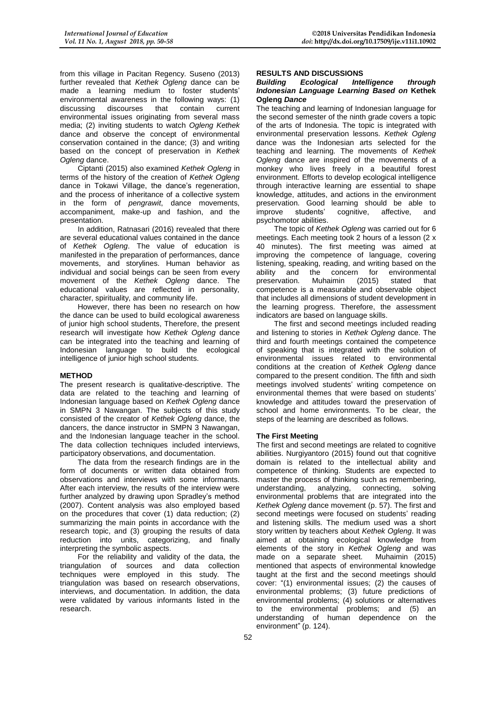from this village in Pacitan Regency. Suseno (2013) further revealed that *Kethek Ogleng* dance can be made a learning medium to foster students' environmental awareness in the following ways: (1)<br>discussing discourses that contain current discussing discourses that contain current environmental issues originating from several mass media; (2) inviting students to watch *Ogleng Kethek* dance and observe the concept of environmental conservation contained in the dance; (3) and writing based on the concept of preservation in *Kethek Ogleng* dance.

Ciptanti (2015) also examined *Kethek Ogleng* in terms of the history of the creation of *Kethek Ogleng* dance in Tokawi Village, the dance's regeneration, and the process of inheritance of a collective system in the form of *pengrawit*, dance movements, accompaniment, make-up and fashion, and the presentation.

In addition, Ratnasari (2016) revealed that there are several educational values contained in the dance of *Kethek Ogleng*. The value of education is manifested in the preparation of performances, dance movements, and storylines. Human behavior as individual and social beings can be seen from every movement of the *Kethek Ogleng* dance. The educational values are reflected in personality, character, spirituality, and community life.

However, there has been no research on how the dance can be used to build ecological awareness of junior high school students, Therefore, the present research will investigate how *Kethek Ogleng* dance can be integrated into the teaching and learning of Indonesian language to build the ecological intelligence of junior high school students.

## **METHOD**

The present research is qualitative-descriptive. The data are related to the teaching and learning of Indonesian language based on *Kethek Ogleng* dance in SMPN 3 Nawangan. The subjects of this study consisted of the creator of *Kethek Ogleng* dance, the dancers, the dance instructor in SMPN 3 Nawangan, and the Indonesian language teacher in the school. The data collection techniques included interviews, participatory observations, and documentation.

The data from the research findings are in the form of documents or written data obtained from observations and interviews with some informants. After each interview, the results of the interview were further analyzed by drawing upon Spradley's method (2007). Content analysis was also employed based on the procedures that cover (1) data reduction; (2) summarizing the main points in accordance with the research topic, and (3) grouping the results of data reduction into units, categorizing, and finally interpreting the symbolic aspects.

For the reliability and validity of the data, the triangulation of sources and data collection techniques were employed in this study. The triangulation was based on research observations, interviews, and documentation. In addition, the data were validated by various informants listed in the research.

#### **RESULTS AND DISCUSSIONS**

#### *Building Ecological Intelligence through Indonesian Language Learning Based on* **Kethek Ogleng** *Dance*

The teaching and learning of Indonesian language for the second semester of the ninth grade covers a topic of the arts of Indonesia. The topic is integrated with environmental preservation lessons. *Kethek Ogleng* dance was the Indonesian arts selected for the teaching and learning. The movements of *Kethek Ogleng* dance are inspired of the movements of a monkey who lives freely in a beautiful forest environment. Efforts to develop ecological intelligence through interactive learning are essential to shape knowledge, attitudes, and actions in the environment preservation. Good learning should be able to improve students' cognitive, affective, and psychomotor abilities.

The topic of *Kethek Ogleng* was carried out for 6 meetings. Each meeting took 2 hours of a lesson (2 x 40 minutes). The first meeting was aimed at improving the competence of language, covering listening, speaking, reading, and writing based on the ability and the concern for environmental<br>preservation. Muhaimin (2015) stated that preservation. Muhaimin (2015) stated that competence is a measurable and observable object that includes all dimensions of student development in the learning progress. Therefore, the assessment indicators are based on language skills.

The first and second meetings included reading and listening to stories in *Kethek Ogleng* dance. The third and fourth meetings contained the competence of speaking that is integrated with the solution of environmental issues related to environmental conditions at the creation of *Kethek Ogleng* dance compared to the present condition. The fifth and sixth meetings involved students' writing competence on environmental themes that were based on students' knowledge and attitudes toward the preservation of school and home environments. To be clear, the steps of the learning are described as follows.

## **The First Meeting**

The first and second meetings are related to cognitive abilities. Nurgiyantoro (2015) found out that cognitive domain is related to the intellectual ability and competence of thinking. Students are expected to master the process of thinking such as remembering, understanding, analyzing, connecting, solving environmental problems that are integrated into the *Kethek Ogleng* dance movement (p. 57). The first and second meetings were focused on students' reading and listening skills. The medium used was a short story written by teachers about *Kethek Ogleng*. It was aimed at obtaining ecological knowledge from elements of the story in *Kethek Ogleng* and was made on a separate sheet. Muhaimin (2015) mentioned that aspects of environmental knowledge taught at the first and the second meetings should cover: "(1) environmental issues; (2) the causes of environmental problems; (3) future predictions of environmental problems; (4) solutions or alternatives to the environmental problems; and (5) an understanding of human dependence on the environment" (p. 124).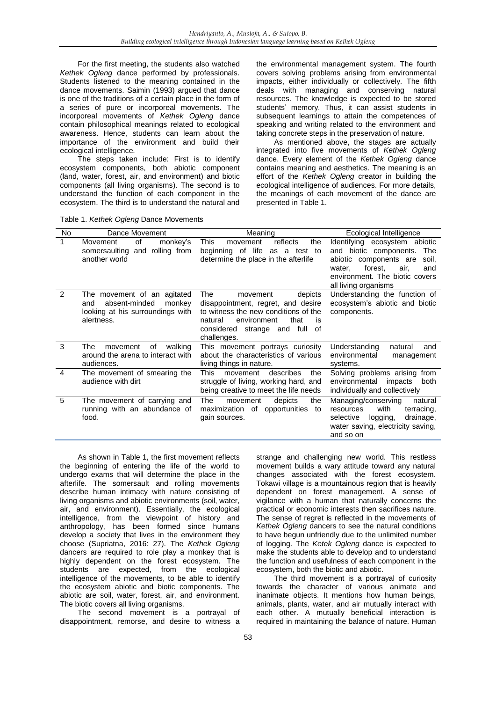For the first meeting, the students also watched *Kethek Ogleng* dance performed by professionals. Students listened to the meaning contained in the dance movements. Saimin (1993) argued that dance is one of the traditions of a certain place in the form of a series of pure or incorporeal movements. The incorporeal movements of *Kethek Ogleng* dance contain philosophical meanings related to ecological awareness. Hence, students can learn about the importance of the environment and build their ecological intelligence.

The steps taken include: First is to identify ecosystem components, both abiotic component (land, water, forest, air, and environment) and biotic components (all living organisms). The second is to understand the function of each component in the ecosystem. The third is to understand the natural and

Table 1. *Kethek Ogleng* Dance Movements

the environmental management system. The fourth covers solving problems arising from environmental impacts, either individually or collectively. The fifth deals with managing and conserving natural resources. The knowledge is expected to be stored students' memory. Thus, it can assist students in subsequent learnings to attain the competences of speaking and writing related to the environment and taking concrete steps in the preservation of nature.

As mentioned above, the stages are actually integrated into five movements of *Kethek Ogleng* dance. Every element of the *Kethek Ogleng* dance contains meaning and aesthetics. The meaning is an effort of the *Kethek Ogleng* creator in building the ecological intelligence of audiences. For more details, the meanings of each movement of the dance are presented in Table 1.

| No.            | Dance Movement                                                                                                  | Meaning                                                                                                                                                                                                 | Ecological Intelligence                                                                                                                                                                         |
|----------------|-----------------------------------------------------------------------------------------------------------------|---------------------------------------------------------------------------------------------------------------------------------------------------------------------------------------------------------|-------------------------------------------------------------------------------------------------------------------------------------------------------------------------------------------------|
| 1              | of<br>monkey's<br>Movement<br>somersaulting and rolling from<br>another world                                   | This<br>reflects<br>the<br>movement<br>life<br>beginning of<br>test to<br>as a<br>determine the place in the afterlife                                                                                  | Identifying ecosystem abiotic<br>and biotic components.<br>The<br>abiotic components are<br>soil.<br>forest,<br>air,<br>water,<br>and<br>environment. The biotic covers<br>all living organisms |
| $\mathcal{P}$  | The movement of an agitated<br>absent-minded<br>monkey<br>and<br>looking at his surroundings with<br>alertness. | The<br>depicts<br>movement<br>disappointment, regret, and desire<br>to witness the new conditions of the<br>that<br>environment<br>natural<br>is<br>considered<br>strange and full<br>0f<br>challenges. | Understanding the function of<br>ecosystem's abiotic and biotic<br>components.                                                                                                                  |
| 3              | The<br>οf<br>walking<br>movement<br>around the arena to interact with<br>audiences.                             | This movement portrays curiosity<br>about the characteristics of various<br>living things in nature.                                                                                                    | Understanding<br>natural<br>and<br>environmental<br>management<br>systems.                                                                                                                      |
| $\overline{4}$ | The movement of smearing the<br>audience with dirt                                                              | This<br>describes<br>movement<br>the<br>struggle of living, working hard, and<br>being creative to meet the life needs                                                                                  | Solving problems arising from<br>environmental<br>impacts<br>both<br>individually and collectively                                                                                              |
| 5              | The movement of carrying and<br>running with an abundance of<br>food.                                           | The<br>depicts<br>the<br>movement<br>maximization of opportunities<br>to<br>gain sources.                                                                                                               | Managing/conserving<br>natural<br>with<br>terracing,<br>resources<br>selective<br>drainage,<br>logging,<br>water saving, electricity saving,<br>and so on                                       |

As shown in Table 1, the first movement reflects the beginning of entering the life of the world to undergo exams that will determine the place in the afterlife. The somersault and rolling movements describe human intimacy with nature consisting of living organisms and abiotic environments (soil, water, air, and environment). Essentially, the ecological intelligence, from the viewpoint of history and anthropology, has been formed since humans develop a society that lives in the environment they choose (Supriatna, 2016: 27). The *Kethek Ogleng* dancers are required to role play a monkey that is highly dependent on the forest ecosystem. The students are expected, from the ecological intelligence of the movements, to be able to identify the ecosystem abiotic and biotic components. The abiotic are soil, water, forest, air, and environment. The biotic covers all living organisms.

The second movement is a portrayal of disappointment, remorse, and desire to witness a strange and challenging new world. This restless movement builds a wary attitude toward any natural changes associated with the forest ecosystem. Tokawi village is a mountainous region that is heavily dependent on forest management. A sense of vigilance with a human that naturally concerns the practical or economic interests then sacrifices nature. The sense of regret is reflected in the movements of *Kethek Ogleng* dancers to see the natural conditions to have begun unfriendly due to the unlimited number of logging. The *Ketek Ogleng* dance is expected to make the students able to develop and to understand the function and usefulness of each component in the ecosystem, both the biotic and abiotic.

The third movement is a portrayal of curiosity towards the character of various animate and inanimate objects. It mentions how human beings, animals, plants, water, and air mutually interact with each other. A mutually beneficial interaction is required in maintaining the balance of nature. Human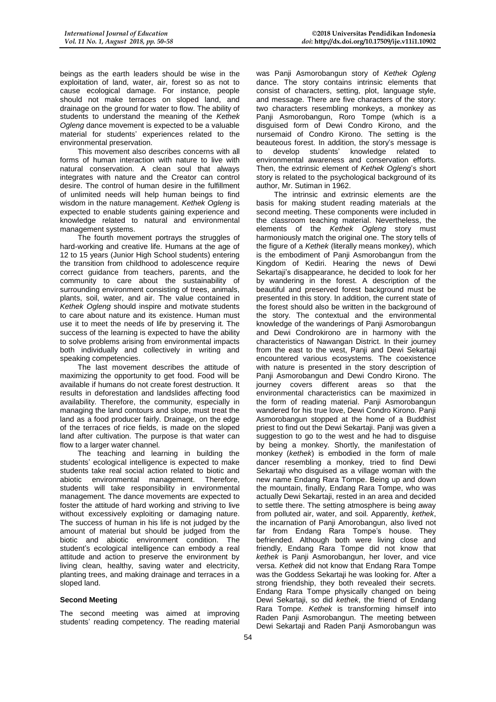beings as the earth leaders should be wise in the exploitation of land, water, air, forest so as not to cause ecological damage. For instance, people should not make terraces on sloped land, and drainage on the ground for water to flow. The ability of students to understand the meaning of the *Kethek Ogleng* dance movement is expected to be a valuable material for students' experiences related to the environmental preservation.

This movement also describes concerns with all forms of human interaction with nature to live with natural conservation. A clean soul that always integrates with nature and the Creator can control desire. The control of human desire in the fulfillment of unlimited needs will help human beings to find wisdom in the nature management. *Kethek Ogleng* is expected to enable students gaining experience and knowledge related to natural and environmental management systems.

The fourth movement portrays the struggles of hard-working and creative life. Humans at the age of 12 to 15 years (Junior High School students) entering the transition from childhood to adolescence require correct guidance from teachers, parents, and the community to care about the sustainability of surrounding environment consisting of trees, animals, plants, soil, water, and air. The value contained in *Kethek Ogleng* should inspire and motivate students to care about nature and its existence. Human must use it to meet the needs of life by preserving it. The success of the learning is expected to have the ability to solve problems arising from environmental impacts both individually and collectively in writing and speaking competencies.

The last movement describes the attitude of maximizing the opportunity to get food. Food will be available if humans do not create forest destruction. It results in deforestation and landslides affecting food availability. Therefore, the community, especially in managing the land contours and slope, must treat the land as a food producer fairly. Drainage, on the edge of the terraces of rice fields, is made on the sloped land after cultivation. The purpose is that water can flow to a larger water channel.

The teaching and learning in building the students' ecological intelligence is expected to make students take real social action related to biotic and abiotic environmental management. Therefore, students will take responsibility in environmental management. The dance movements are expected to foster the attitude of hard working and striving to live without excessively exploiting or damaging nature. The success of human in his life is not judged by the amount of material but should be judged from the biotic and abiotic environment condition. The student's ecological intelligence can embody a real attitude and action to preserve the environment by living clean, healthy, saving water and electricity, planting trees, and making drainage and terraces in a sloped land.

## **Second Meeting**

The second meeting was aimed at improving students' reading competency. The reading material was Panji Asmorobangun story of *Kethek Ogleng* dance. The story contains intrinsic elements that consist of characters, setting, plot, language style, and message. There are five characters of the story: two characters resembling monkeys, a monkey as Panji Asmorobangun, Roro Tompe (which is a disguised form of Dewi Condro Kirono, and the nursemaid of Condro Kirono. The setting is the beauteous forest. In addition, the story's message is to develop students' knowledge related to environmental awareness and conservation efforts. Then, the extrinsic element of *Kethek Ogleng*'s short story is related to the psychological background of its author, Mr. Sutiman in 1962.

The intrinsic and extrinsic elements are the basis for making student reading materials at the second meeting. These components were included in the classroom teaching material. Nevertheless, the elements of the *Kethek Ogleng* story must harmoniously match the original one. The story tells of the figure of a *Kethek* (literally means monkey), which is the embodiment of Panji Asmorobangun from the Kingdom of Kediri. Hearing the news of Dewi Sekartaji's disappearance, he decided to look for her by wandering in the forest. A description of the beautiful and preserved forest background must be presented in this story. In addition, the current state of the forest should also be written in the background of the story. The contextual and the environmental knowledge of the wanderings of Panji Asmorobangun and Dewi Condrokirono are in harmony with the characteristics of Nawangan District. In their journey from the east to the west, Panji and Dewi Sekartaji encountered various ecosystems. The coexistence with nature is presented in the story description of Panji Asmorobangun and Dewi Condro Kirono. The journey covers different areas so that the environmental characteristics can be maximized in the form of reading material. Panji Asmorobangun wandered for his true love, Dewi Condro Kirono. Panji Asmorobangun stopped at the home of a Buddhist priest to find out the Dewi Sekartaji. Panji was given a suggestion to go to the west and he had to disguise by being a monkey. Shortly, the manifestation of monkey (*kethek*) is embodied in the form of male dancer resembling a monkey, tried to find Dewi Sekartaji who disguised as a village woman with the new name Endang Rara Tompe. Being up and down the mountain, finally, Endang Rara Tompe, who was actually Dewi Sekartaji, rested in an area and decided to settle there. The setting atmosphere is being away from polluted air, water, and soil. Apparently, *kethek*, the incarnation of Panji Amorobangun, also lived not far from Endang Rara Tompe's house. They befriended. Although both were living close and friendly, Endang Rara Tompe did not know that *kethek* is Panji Asmorobangun, her lover, and vice versa. *Kethek* did not know that Endang Rara Tompe was the Goddess Sekartaji he was looking for. After a strong friendship, they both revealed their secrets. Endang Rara Tompe physically changed on being Dewi Sekartaji, so did *kethek*, the friend of Endang Rara Tompe. *Kethek* is transforming himself into Raden Panji Asmorobangun. The meeting between Dewi Sekartaji and Raden Panji Asmorobangun was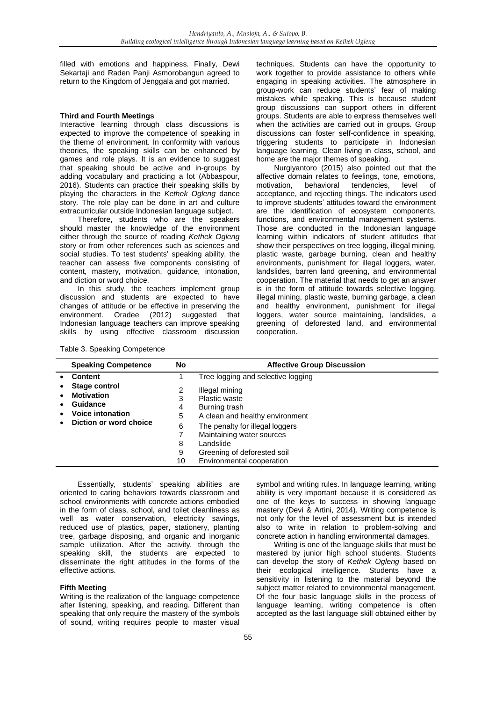filled with emotions and happiness. Finally, Dewi Sekartaji and Raden Panji Asmorobangun agreed to return to the Kingdom of Jenggala and got married.

#### **Third and Fourth Meetings**

Interactive learning through class discussions is expected to improve the competence of speaking in the theme of environment. In conformity with various theories, the speaking skills can be enhanced by games and role plays. It is an evidence to suggest that speaking should be active and in-groups by adding vocabulary and practicing a lot (Abbaspour, 2016). Students can practice their speaking skills by playing the characters in the *Kethek Ogleng* dance story. The role play can be done in art and culture extracurricular outside Indonesian language subject.

Therefore, students who are the speakers should master the knowledge of the environment either through the source of reading *Kethek Ogleng* story or from other references such as sciences and social studies. To test students' speaking ability, the teacher can assess five components consisting of content, mastery, motivation, guidance, intonation, and diction or word choice.

In this study, the teachers implement group discussion and students are expected to have changes of attitude or be effective in preserving the environment. Oradee (2012) suggested that Indonesian language teachers can improve speaking skills by using effective classroom discussion

techniques. Students can have the opportunity to work together to provide assistance to others while engaging in speaking activities. The atmosphere in group-work can reduce students' fear of making mistakes while speaking. This is because student group discussions can support others in different groups. Students are able to express themselves well when the activities are carried out in groups. Group discussions can foster self-confidence in speaking, triggering students to participate in Indonesian language learning. Clean living in class, school, and home are the major themes of speaking.

Nurgiyantoro (2015) also pointed out that the affective domain relates to feelings, tone, emotions, motivation, behavioral tendencies, level of acceptance, and rejecting things. The indicators used to improve students' attitudes toward the environment are the identification of ecosystem components, functions, and environmental management systems. Those are conducted in the Indonesian language learning within indicators of student attitudes that show their perspectives on tree logging, illegal mining, plastic waste, garbage burning, clean and healthy environments, punishment for illegal loggers, water, landslides, barren land greening, and environmental cooperation. The material that needs to get an answer is in the form of attitude towards selective logging, illegal mining, plastic waste, burning garbage, a clean and healthy environment, punishment for illegal loggers, water source maintaining, landslides, a greening of deforested land, and environmental cooperation.

| Table 3. Speaking Competence |  |
|------------------------------|--|
|------------------------------|--|

| <b>Speaking Competence</b>                                                                          | No      | <b>Affective Group Discussion</b>                                         |
|-----------------------------------------------------------------------------------------------------|---------|---------------------------------------------------------------------------|
| <b>Content</b>                                                                                      |         | Tree logging and selective logging                                        |
| Stage control<br><b>Motivation</b><br>Guidance<br><b>Voice intonation</b><br>Diction or word choice | 2<br>3  | Illegal mining<br>Plastic waste                                           |
|                                                                                                     | 4<br>5  | Burning trash<br>A clean and healthy environment                          |
|                                                                                                     | 6<br>8  | The penalty for illegal loggers<br>Maintaining water sources<br>Landslide |
|                                                                                                     | 9<br>10 | Greening of deforested soil<br>Environmental cooperation                  |

Essentially, students' speaking abilities are oriented to caring behaviors towards classroom and school environments with concrete actions embodied in the form of class, school, and toilet cleanliness as well as water conservation, electricity savings, reduced use of plastics, paper, stationery, planting tree, garbage disposing, and organic and inorganic sample utilization. After the activity, through the speaking skill, the students are expected to disseminate the right attitudes in the forms of the effective actions.

#### **Fifth Meeting**

Writing is the realization of the language competence after listening, speaking, and reading. Different than speaking that only require the mastery of the symbols of sound, writing requires people to master visual

symbol and writing rules. In language learning, writing ability is very important because it is considered as one of the keys to success in showing language mastery (Devi & Artini, 2014). Writing competence is not only for the level of assessment but is intended also to write in relation to problem-solving and concrete action in handling environmental damages.

Writing is one of the language skills that must be mastered by junior high school students. Students can develop the story of *Kethek Ogleng* based on their ecological intelligence. Students have a sensitivity in listening to the material beyond the subject matter related to environmental management. Of the four basic language skills in the process of language learning, writing competence is often accepted as the last language skill obtained either by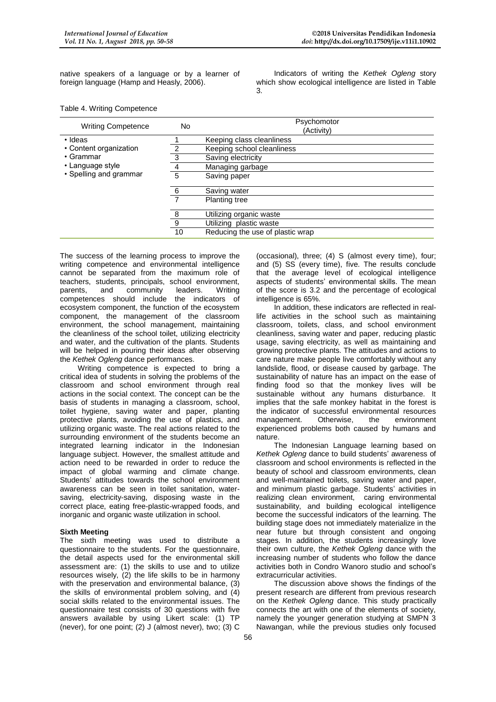native speakers of a language or by a learner of foreign language (Hamp and Heasly, 2006).

Indicators of writing the *Kethek Ogleng* story which show ecological intelligence are listed in Table 3.

| <b>Writing Competence</b> | No | Psychomotor<br>(Activity)        |
|---------------------------|----|----------------------------------|
| · Ideas                   |    | Keeping class cleanliness        |
| • Content organization    |    | Keeping school cleanliness       |
| • Grammar                 | 3  | Saving electricity               |
| • Language style          | 4  | Managing garbage                 |
| • Spelling and grammar    | 5  | Saving paper                     |
|                           | -6 | Saving water                     |
|                           |    | <b>Planting tree</b>             |
|                           | -8 | Utilizing organic waste          |
|                           | 9  | Utilizing plastic waste          |
|                           | 10 | Reducing the use of plastic wrap |

Table 4. Writing Competence

The success of the learning process to improve the writing competence and environmental intelligence cannot be separated from the maximum role of teachers, students, principals, school environment, parents, and community leaders. Writing and community leaders. competences should include the indicators of ecosystem component, the function of the ecosystem component, the management of the classroom environment, the school management, maintaining the cleanliness of the school toilet, utilizing electricity and water, and the cultivation of the plants. Students will be helped in pouring their ideas after observing the *Kethek Ogleng* dance performances.

Writing competence is expected to bring a critical idea of students in solving the problems of the classroom and school environment through real actions in the social context. The concept can be the basis of students in managing a classroom, school, toilet hygiene, saving water and paper, planting protective plants, avoiding the use of plastics, and utilizing organic waste. The real actions related to the surrounding environment of the students become an integrated learning indicator in the Indonesian language subject. However, the smallest attitude and action need to be rewarded in order to reduce the impact of global warming and climate change. Students' attitudes towards the school environment awareness can be seen in toilet sanitation, watersaving, electricity-saving, disposing waste in the correct place, eating free-plastic-wrapped foods, and inorganic and organic waste utilization in school.

## **Sixth Meeting**

The sixth meeting was used to distribute a questionnaire to the students. For the questionnaire, the detail aspects used for the environmental skill assessment are: (1) the skills to use and to utilize resources wisely, (2) the life skills to be in harmony with the preservation and environmental balance, (3) the skills of environmental problem solving, and (4) social skills related to the environmental issues. The questionnaire test consists of 30 questions with five answers available by using Likert scale: (1) TP (never), for one point; (2) J (almost never), two; (3) C

(occasional), three; (4) S (almost every time), four; and (5) SS (every time), five. The results conclude that the average level of ecological intelligence aspects of students' environmental skills. The mean of the score is 3.2 and the percentage of ecological intelligence is 65%.

In addition, these indicators are reflected in reallife activities in the school such as maintaining classroom, toilets, class, and school environment cleanliness, saving water and paper, reducing plastic usage, saving electricity, as well as maintaining and growing protective plants. The attitudes and actions to care nature make people live comfortably without any landslide, flood, or disease caused by garbage. The sustainability of nature has an impact on the ease of finding food so that the monkey lives will be sustainable without any humans disturbance. It implies that the safe monkey habitat in the forest is the indicator of successful environmental resources management. Otherwise, the environment experienced problems both caused by humans and nature.

The Indonesian Language learning based on *Kethek Ogleng* dance to build students' awareness of classroom and school environments is reflected in the beauty of school and classroom environments, clean and well-maintained toilets, saving water and paper, and minimum plastic garbage. Students' activities in realizing clean environment, caring environmental sustainability, and building ecological intelligence become the successful indicators of the learning. The building stage does not immediately materialize in the near future but through consistent and ongoing stages. In addition, the students increasingly love their own culture, the *Kethek Ogleng* dance with the increasing number of students who follow the dance activities both in Condro Wanoro studio and school's extracurricular activities.

The discussion above shows the findings of the present research are different from previous research on the *Kethek Ogleng* dance. This study practically connects the art with one of the elements of society, namely the younger generation studying at SMPN 3 Nawangan, while the previous studies only focused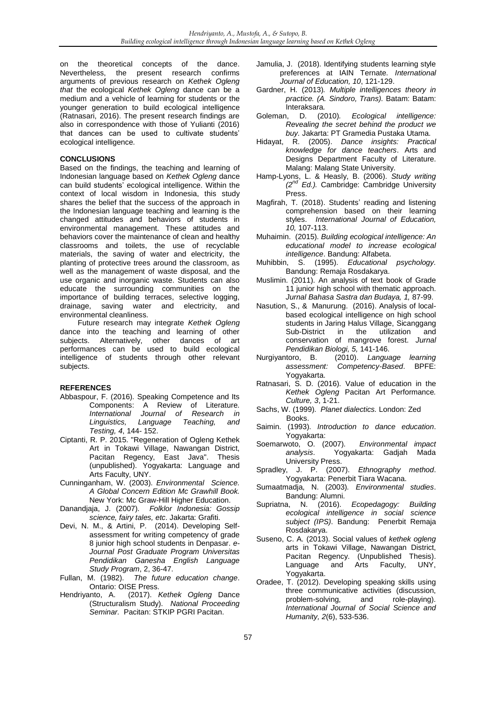on the theoretical concepts of the dance. Nevertheless, the present research confirms arguments of previous research on *Kethek Ogleng that* the ecological *Kethek Ogleng* dance can be a medium and a vehicle of learning for students or the younger generation to build ecological intelligence (Ratnasari, 2016). The present research findings are also in correspondence with those of Yulianti (2016) that dances can be used to cultivate students' ecological intelligence.

## **CONCLUSIONS**

Based on the findings, the teaching and learning of Indonesian language based on *Kethek Ogleng* dance can build students' ecological intelligence. Within the context of local wisdom in Indonesia, this study shares the belief that the success of the approach in the Indonesian language teaching and learning is the changed attitudes and behaviors of students in environmental management. These attitudes and behaviors cover the maintenance of clean and healthy classrooms and toilets, the use of recyclable materials, the saving of water and electricity, the planting of protective trees around the classroom, as well as the management of waste disposal, and the use organic and inorganic waste. Students can also educate the surrounding communities on the importance of building terraces, selective logging, drainage, saving water and electricity, and environmental cleanliness.

Future research may integrate *Kethek Ogleng*  dance into the teaching and learning of other subjects. Alternatively, other dances of art performances can be used to build ecological intelligence of students through other relevant subjects.

## **REFERENCES**

- Abbaspour, F. (2016). Speaking Competence and Its Components: A Review of Literature. *International Journal of Research in Linguistics, Language Teaching, and Testing, 4*, 144- 152.
- Ciptanti, R. P. 2015. "Regeneration of Ogleng Kethek Art in Tokawi Village, Nawangan District, Pacitan Regency, East Java". Thesis (unpublished). Yogyakarta: Language and Arts Faculty, UNY.
- Cunninganham, W. (2003). *Environmental Science. A Global Concern Edition Mc Grawhill Book.* New York: Mc Graw-Hill Higher Education.
- Danandjaja, J. (2007). *Folklor Indonesia: Gossip science, fairy tales, etc*. Jakarta: Grafiti.
- Devi, N. M., & Artini, P. (2014). Developing Selfassessment for writing competency of grade 8 junior high school students in Denpasar. *e-Journal Post Graduate Program Universitas Pendidikan Ganesha English Language Study Program*, 2, 36-47.
- Fullan, M. (1982). *The future education change*. Ontario: OISE Press.
- Hendriyanto, A. (2017). *Kethek Ogleng* Dance (Structuralism Study). *National Proceeding Seminar.* Pacitan: STKIP PGRI Pacitan.
- Jamulia, J. (2018). Identifying students learning style preferences at IAIN Ternate. *International Journal of Education, 10*, 121-129.
- Gardner, H. (2013)*. Multiple intelligences theory in practice. (A. Sindoro, Trans).* Batam: Batam:
- Interaksara.<br>2) Goleman, D. (2) D. (2010). Ecological intelligence: *Revealing the secret behind the product we*
- buy. Jakarta: PT Gramedia Pustaka Utama.<br>Hidayat, R. (2005). *Dance insights: Practica* R. (2005). *Dance insights: Practical knowledge for dance teachers*. Arts and Designs Department Faculty of Literature. Malang: Malang State University.
- Hamp-Lyons, L. & Heasly, B. (2006). *Study writing (2nd Ed.).* Cambridge: Cambridge University Press.
- Magfirah, T. (2018). Students' reading and listening comprehension based on their learning styles. *International Journal of Education, 10,* 107-113.
- Muhaimin. (2015). *Building ecological intelligence: An educational model to increase ecological intelligence*. Bandung: Alfabeta.
- Muhibbin, S. (1995). *Educational psychology.* Bandung: Remaja Rosdakarya.
- Muslimin. (2011). An analysis of text book of Grade 11 junior high school with thematic approach. *Jurnal Bahasa Sastra dan Budaya, 1,* 87-99.
- Nasution, S., & Manurung. (2016). Analysis of localbased ecological intelligence on high school students in Jaring Halus Village, Sicanggang Sub-District in the utilization and conservation of mangrove forest. *Jurnal Pendidikan Biologi, 5,* 141-146.
- Nurgiyantoro, B. (2010). *Language learning assessment: Competency-Based*. BPFE: Yogyakarta.
- Ratnasari, S. D. (2016). Value of education in the *Kethek Ogleng* Pacitan Art Performance*. Culture, 3*, 1-21.
- Sachs, W. (1999). *Planet dialectics.* London: Zed Books.
- Saimin. (1993). *Introduction to dance education*. Yogyakarta:
- Soemarwoto, O. (2007). *Environmental impact analysis*. Yogyakarta: Gadjah Mada University Press.
- Spradley, J. P. (2007). *Ethnography method*. Yogyakarta: Penerbit Tiara Wacana.
- Sumaatmadja, N. (2003)*. Environmental studies*. Bandung: Alumni.
- Supriatna, N. (2016). *Ecopedagogy: Building ecological intelligence in social science subject (IPS)*. Bandung: Penerbit Remaja Rosdakarya.
- Suseno, C. A. (2013). Social values of *kethek ogleng* arts in Tokawi Village, Nawangan District, Pacitan Regency. (Unpublished Thesis). Language and Arts Faculty, UNY, Yogyakarta.
- Oradee, T. (2012). Developing speaking skills using three communicative activities (discussion, problem-solving, and role-playing). problem-solving, and *International Journal of Social Science and Humanity, 2*(6), 533-536.